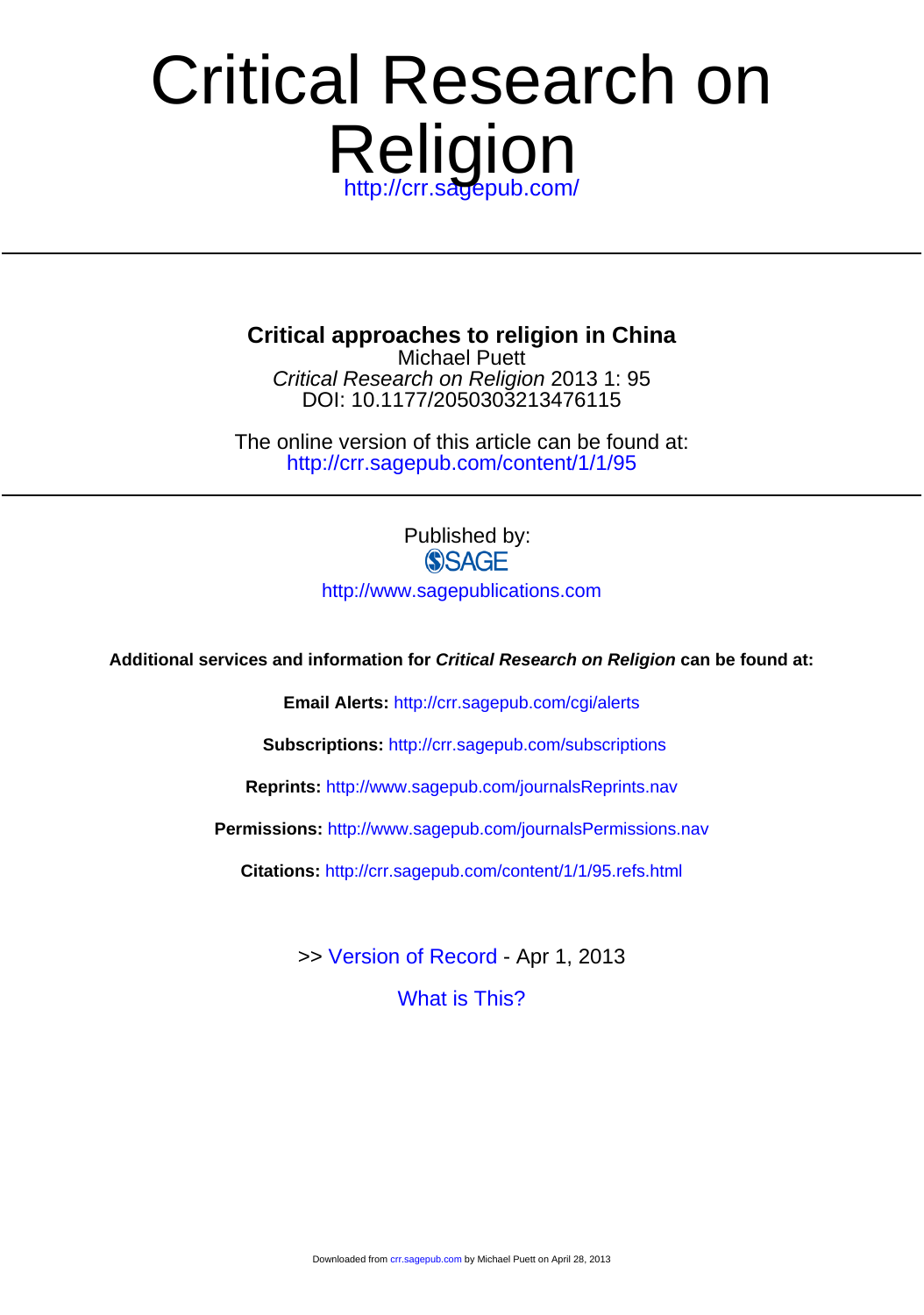# Religion Critical Research on

**Critical approaches to religion in China**

DOI: 10.1177/2050303213476115 Critical Research on Religion 2013 1: 95 Michael Puett

<http://crr.sagepub.com/content/1/1/95> The online version of this article can be found at:

> Published by: **SSAGE**

<http://www.sagepublications.com>

**Additional services and information for Critical Research on Religion can be found at:**

**Email Alerts:** <http://crr.sagepub.com/cgi/alerts>

**Subscriptions:** <http://crr.sagepub.com/subscriptions>

**Reprints:** <http://www.sagepub.com/journalsReprints.nav>

**Permissions:** <http://www.sagepub.com/journalsPermissions.nav>

**Citations:** <http://crr.sagepub.com/content/1/1/95.refs.html>

>> [Version of Record -](http://crr.sagepub.com/content/1/1/95.full.pdf) Apr 1, 2013

[What is This?](http://online.sagepub.com/site/sphelp/vorhelp.xhtml)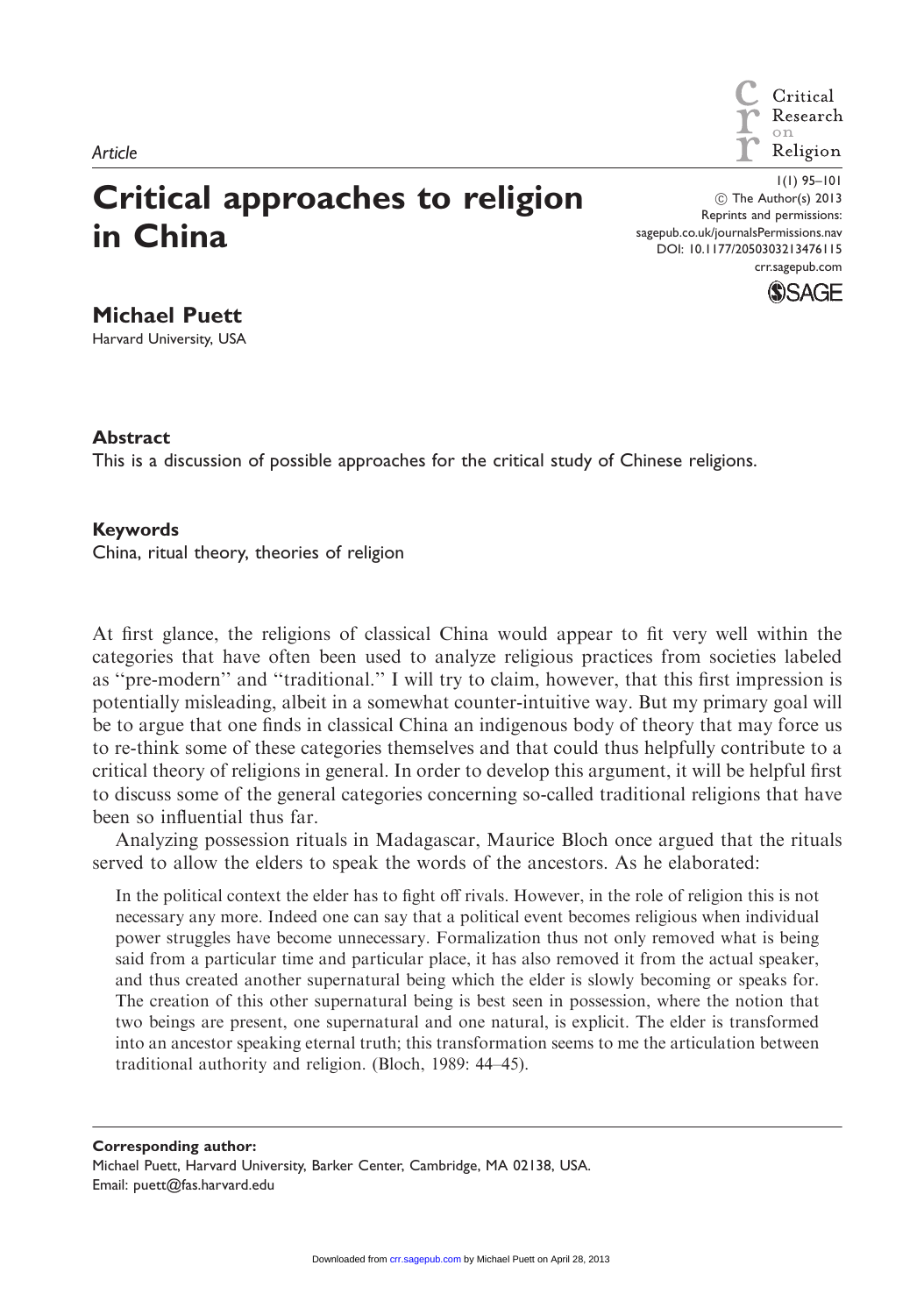Article



## Critical approaches to religion in China

1(1) 95–101 (C) The Author(s) 2013 Reprints and permissions: sagepub.co.uk/journalsPermissions.nav DOI: 10.1177/2050303213476115 crr.sagepub.com



Michael Puett

Harvard University, USA

### Abstract

This is a discussion of possible approaches for the critical study of Chinese religions.

### Keywords

China, ritual theory, theories of religion

At first glance, the religions of classical China would appear to fit very well within the categories that have often been used to analyze religious practices from societies labeled as ''pre-modern'' and ''traditional.'' I will try to claim, however, that this first impression is potentially misleading, albeit in a somewhat counter-intuitive way. But my primary goal will be to argue that one finds in classical China an indigenous body of theory that may force us to re-think some of these categories themselves and that could thus helpfully contribute to a critical theory of religions in general. In order to develop this argument, it will be helpful first to discuss some of the general categories concerning so-called traditional religions that have been so influential thus far.

Analyzing possession rituals in Madagascar, Maurice Bloch once argued that the rituals served to allow the elders to speak the words of the ancestors. As he elaborated:

In the political context the elder has to fight off rivals. However, in the role of religion this is not necessary any more. Indeed one can say that a political event becomes religious when individual power struggles have become unnecessary. Formalization thus not only removed what is being said from a particular time and particular place, it has also removed it from the actual speaker, and thus created another supernatural being which the elder is slowly becoming or speaks for. The creation of this other supernatural being is best seen in possession, where the notion that two beings are present, one supernatural and one natural, is explicit. The elder is transformed into an ancestor speaking eternal truth; this transformation seems to me the articulation between traditional authority and religion. (Bloch, 1989: 44–45).

Corresponding author: Michael Puett, Harvard University, Barker Center, Cambridge, MA 02138, USA. Email: puett@fas.harvard.edu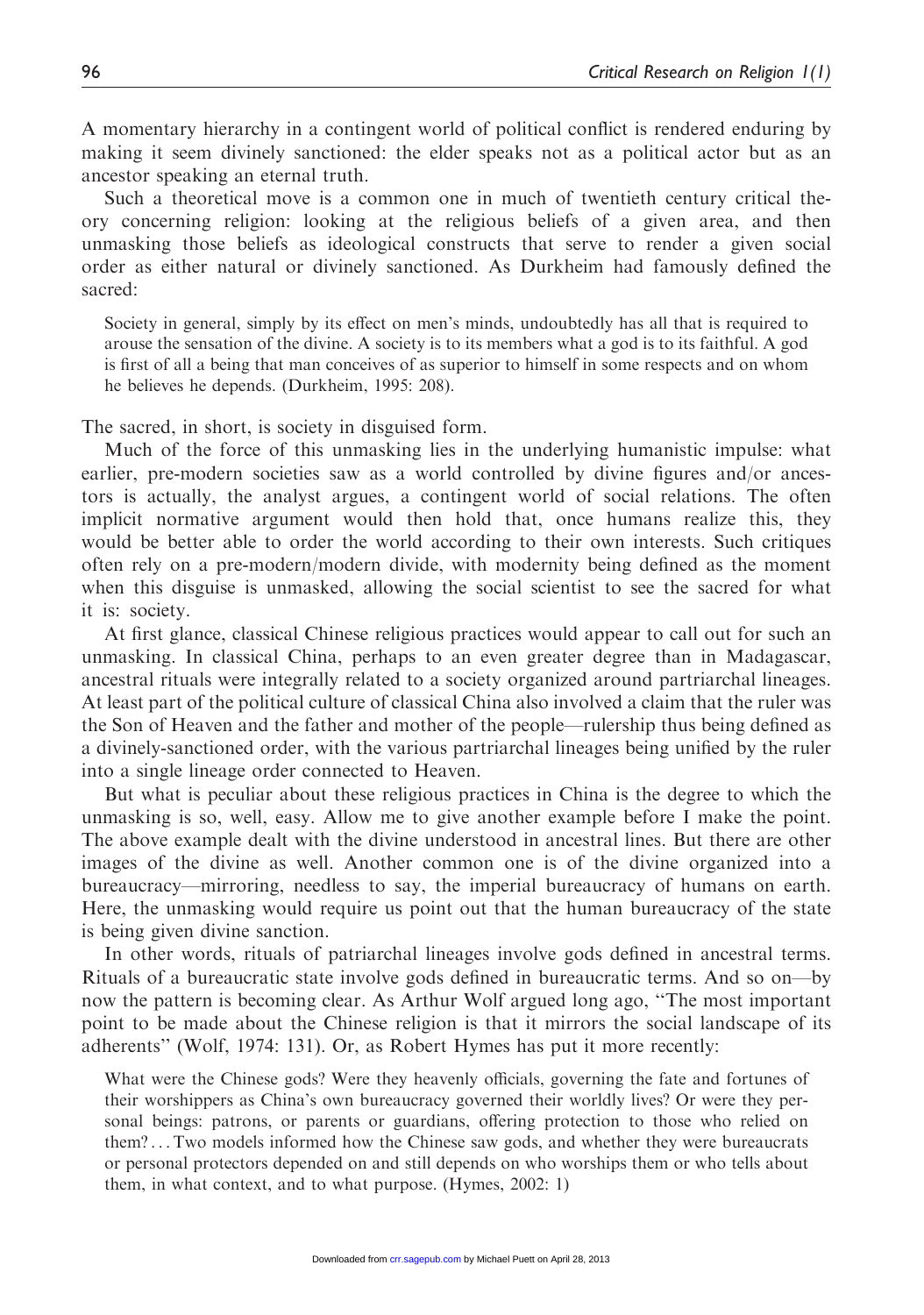A momentary hierarchy in a contingent world of political conflict is rendered enduring by making it seem divinely sanctioned: the elder speaks not as a political actor but as an ancestor speaking an eternal truth.

Such a theoretical move is a common one in much of twentieth century critical theory concerning religion: looking at the religious beliefs of a given area, and then unmasking those beliefs as ideological constructs that serve to render a given social order as either natural or divinely sanctioned. As Durkheim had famously defined the sacred:

Society in general, simply by its effect on men's minds, undoubtedly has all that is required to arouse the sensation of the divine. A society is to its members what a god is to its faithful. A god is first of all a being that man conceives of as superior to himself in some respects and on whom he believes he depends. (Durkheim, 1995: 208).

The sacred, in short, is society in disguised form.

Much of the force of this unmasking lies in the underlying humanistic impulse: what earlier, pre-modern societies saw as a world controlled by divine figures and/or ancestors is actually, the analyst argues, a contingent world of social relations. The often implicit normative argument would then hold that, once humans realize this, they would be better able to order the world according to their own interests. Such critiques often rely on a pre-modern/modern divide, with modernity being defined as the moment when this disguise is unmasked, allowing the social scientist to see the sacred for what it is: society.

At first glance, classical Chinese religious practices would appear to call out for such an unmasking. In classical China, perhaps to an even greater degree than in Madagascar, ancestral rituals were integrally related to a society organized around partriarchal lineages. At least part of the political culture of classical China also involved a claim that the ruler was the Son of Heaven and the father and mother of the people—rulership thus being defined as a divinely-sanctioned order, with the various partriarchal lineages being unified by the ruler into a single lineage order connected to Heaven.

But what is peculiar about these religious practices in China is the degree to which the unmasking is so, well, easy. Allow me to give another example before I make the point. The above example dealt with the divine understood in ancestral lines. But there are other images of the divine as well. Another common one is of the divine organized into a bureaucracy—mirroring, needless to say, the imperial bureaucracy of humans on earth. Here, the unmasking would require us point out that the human bureaucracy of the state is being given divine sanction.

In other words, rituals of patriarchal lineages involve gods defined in ancestral terms. Rituals of a bureaucratic state involve gods defined in bureaucratic terms. And so on—by now the pattern is becoming clear. As Arthur Wolf argued long ago, ''The most important point to be made about the Chinese religion is that it mirrors the social landscape of its adherents'' (Wolf, 1974: 131). Or, as Robert Hymes has put it more recently:

What were the Chinese gods? Were they heavenly officials, governing the fate and fortunes of their worshippers as China's own bureaucracy governed their worldly lives? Or were they personal beings: patrons, or parents or guardians, offering protection to those who relied on them?...Two models informed how the Chinese saw gods, and whether they were bureaucrats or personal protectors depended on and still depends on who worships them or who tells about them, in what context, and to what purpose. (Hymes, 2002: 1)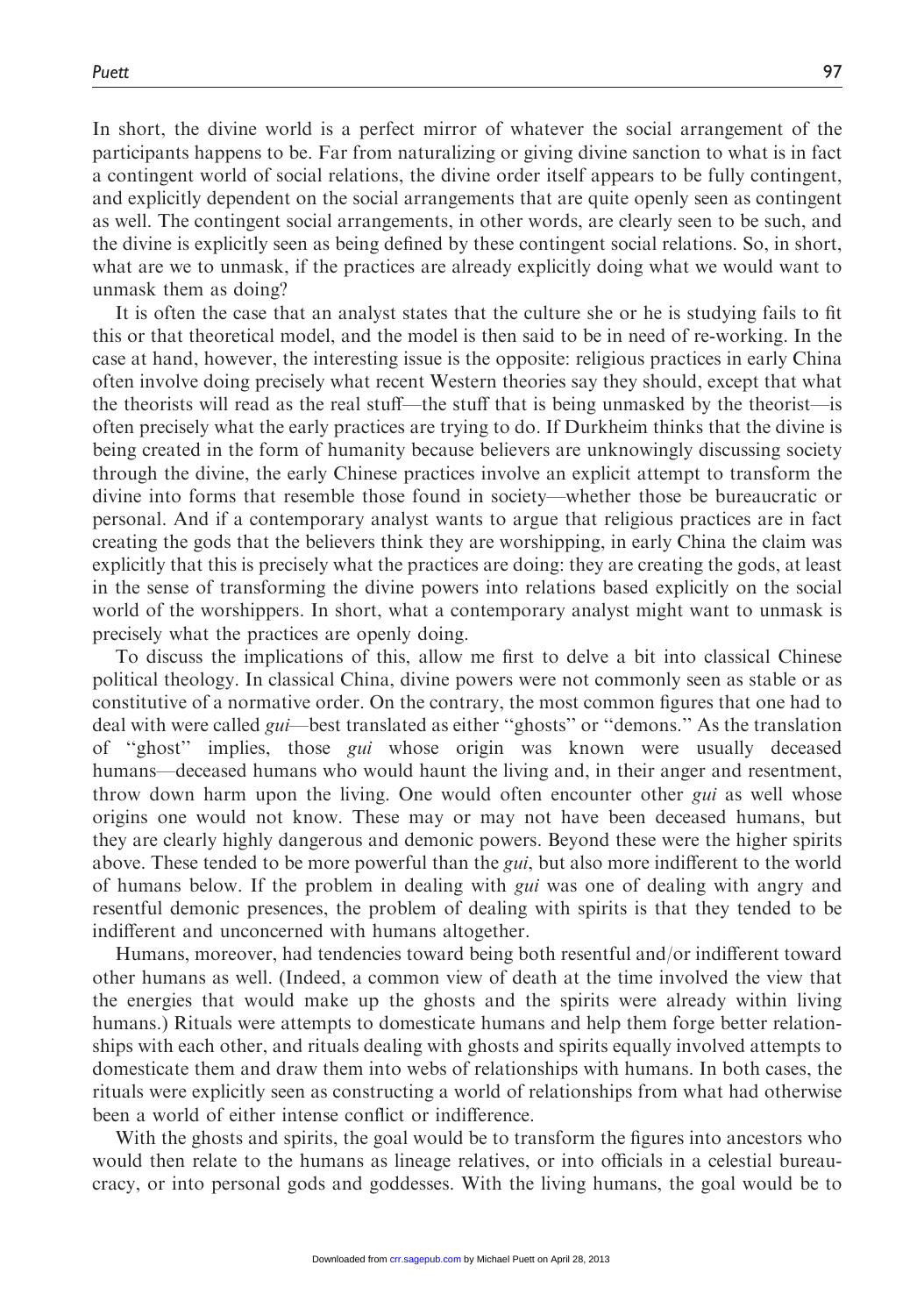unmask them as doing?

In short, the divine world is a perfect mirror of whatever the social arrangement of the participants happens to be. Far from naturalizing or giving divine sanction to what is in fact a contingent world of social relations, the divine order itself appears to be fully contingent, and explicitly dependent on the social arrangements that are quite openly seen as contingent as well. The contingent social arrangements, in other words, are clearly seen to be such, and the divine is explicitly seen as being defined by these contingent social relations. So, in short, what are we to unmask, if the practices are already explicitly doing what we would want to

It is often the case that an analyst states that the culture she or he is studying fails to fit this or that theoretical model, and the model is then said to be in need of re-working. In the case at hand, however, the interesting issue is the opposite: religious practices in early China often involve doing precisely what recent Western theories say they should, except that what the theorists will read as the real stuff—the stuff that is being unmasked by the theorist—is often precisely what the early practices are trying to do. If Durkheim thinks that the divine is being created in the form of humanity because believers are unknowingly discussing society through the divine, the early Chinese practices involve an explicit attempt to transform the divine into forms that resemble those found in society—whether those be bureaucratic or personal. And if a contemporary analyst wants to argue that religious practices are in fact creating the gods that the believers think they are worshipping, in early China the claim was explicitly that this is precisely what the practices are doing: they are creating the gods, at least in the sense of transforming the divine powers into relations based explicitly on the social world of the worshippers. In short, what a contemporary analyst might want to unmask is precisely what the practices are openly doing.

To discuss the implications of this, allow me first to delve a bit into classical Chinese political theology. In classical China, divine powers were not commonly seen as stable or as constitutive of a normative order. On the contrary, the most common figures that one had to deal with were called *gui*—best translated as either "ghosts" or "demons." As the translation of "ghost" implies, those *gui* whose origin was known were usually deceased humans—deceased humans who would haunt the living and, in their anger and resentment, throw down harm upon the living. One would often encounter other *gui* as well whose origins one would not know. These may or may not have been deceased humans, but they are clearly highly dangerous and demonic powers. Beyond these were the higher spirits above. These tended to be more powerful than the *gui*, but also more indifferent to the world of humans below. If the problem in dealing with gui was one of dealing with angry and resentful demonic presences, the problem of dealing with spirits is that they tended to be indifferent and unconcerned with humans altogether.

Humans, moreover, had tendencies toward being both resentful and/or indifferent toward other humans as well. (Indeed, a common view of death at the time involved the view that the energies that would make up the ghosts and the spirits were already within living humans.) Rituals were attempts to domesticate humans and help them forge better relationships with each other, and rituals dealing with ghosts and spirits equally involved attempts to domesticate them and draw them into webs of relationships with humans. In both cases, the rituals were explicitly seen as constructing a world of relationships from what had otherwise been a world of either intense conflict or indifference.

With the ghosts and spirits, the goal would be to transform the figures into ancestors who would then relate to the humans as lineage relatives, or into officials in a celestial bureaucracy, or into personal gods and goddesses. With the living humans, the goal would be to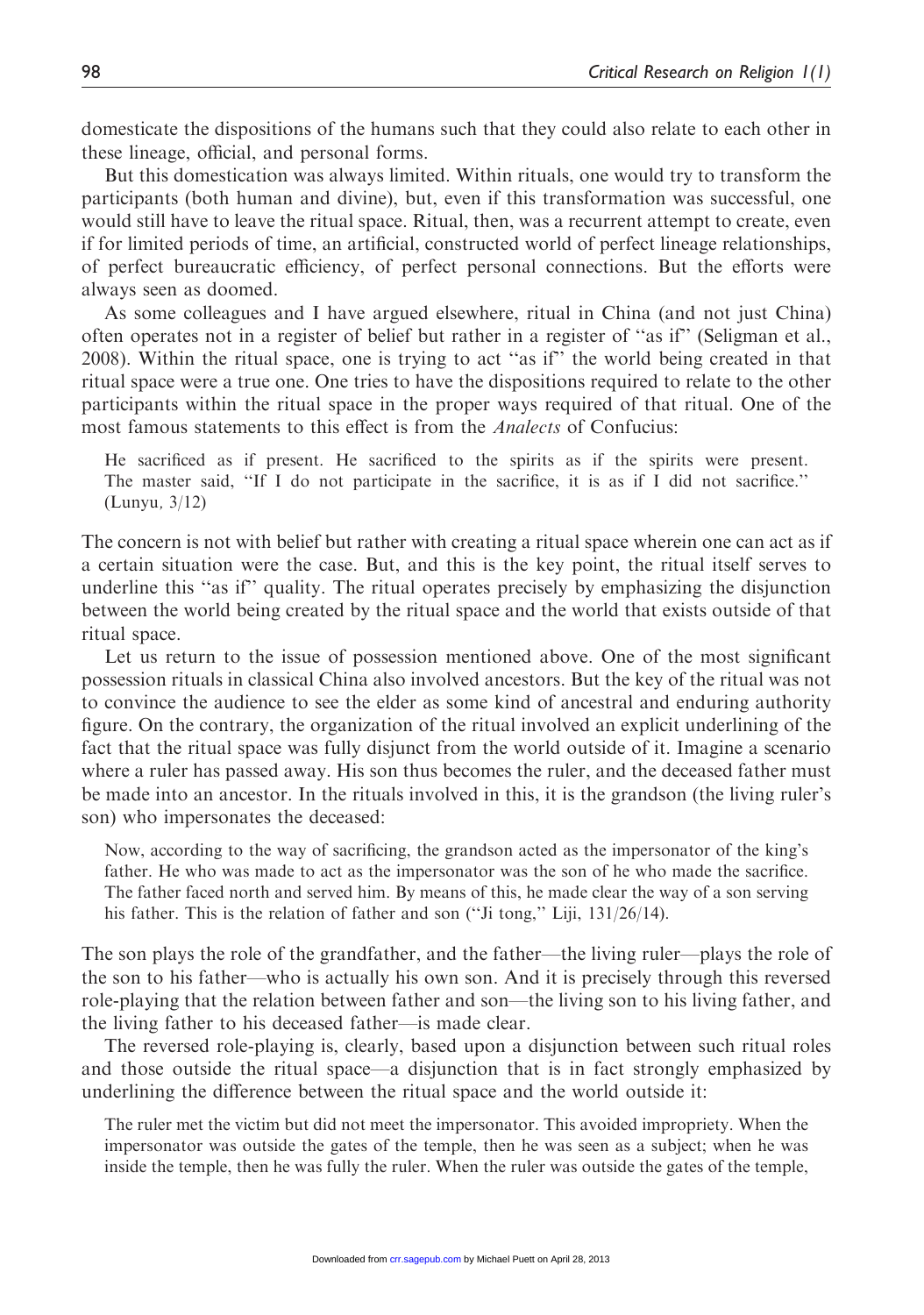domesticate the dispositions of the humans such that they could also relate to each other in these lineage, official, and personal forms.

But this domestication was always limited. Within rituals, one would try to transform the participants (both human and divine), but, even if this transformation was successful, one would still have to leave the ritual space. Ritual, then, was a recurrent attempt to create, even if for limited periods of time, an artificial, constructed world of perfect lineage relationships, of perfect bureaucratic efficiency, of perfect personal connections. But the efforts were always seen as doomed.

As some colleagues and I have argued elsewhere, ritual in China (and not just China) often operates not in a register of belief but rather in a register of ''as if'' (Seligman et al., 2008). Within the ritual space, one is trying to act ''as if'' the world being created in that ritual space were a true one. One tries to have the dispositions required to relate to the other participants within the ritual space in the proper ways required of that ritual. One of the most famous statements to this effect is from the Analects of Confucius:

He sacrificed as if present. He sacrificed to the spirits as if the spirits were present. The master said, ''If I do not participate in the sacrifice, it is as if I did not sacrifice.'' (Lunyu, 3/12)

The concern is not with belief but rather with creating a ritual space wherein one can act as if a certain situation were the case. But, and this is the key point, the ritual itself serves to underline this ''as if'' quality. The ritual operates precisely by emphasizing the disjunction between the world being created by the ritual space and the world that exists outside of that ritual space.

Let us return to the issue of possession mentioned above. One of the most significant possession rituals in classical China also involved ancestors. But the key of the ritual was not to convince the audience to see the elder as some kind of ancestral and enduring authority figure. On the contrary, the organization of the ritual involved an explicit underlining of the fact that the ritual space was fully disjunct from the world outside of it. Imagine a scenario where a ruler has passed away. His son thus becomes the ruler, and the deceased father must be made into an ancestor. In the rituals involved in this, it is the grandson (the living ruler's son) who impersonates the deceased:

Now, according to the way of sacrificing, the grandson acted as the impersonator of the king's father. He who was made to act as the impersonator was the son of he who made the sacrifice. The father faced north and served him. By means of this, he made clear the way of a son serving his father. This is the relation of father and son (''Ji tong,'' Liji, 131/26/14).

The son plays the role of the grandfather, and the father—the living ruler—plays the role of the son to his father—who is actually his own son. And it is precisely through this reversed role-playing that the relation between father and son—the living son to his living father, and the living father to his deceased father—is made clear.

The reversed role-playing is, clearly, based upon a disjunction between such ritual roles and those outside the ritual space—a disjunction that is in fact strongly emphasized by underlining the difference between the ritual space and the world outside it:

The ruler met the victim but did not meet the impersonator. This avoided impropriety. When the impersonator was outside the gates of the temple, then he was seen as a subject; when he was inside the temple, then he was fully the ruler. When the ruler was outside the gates of the temple,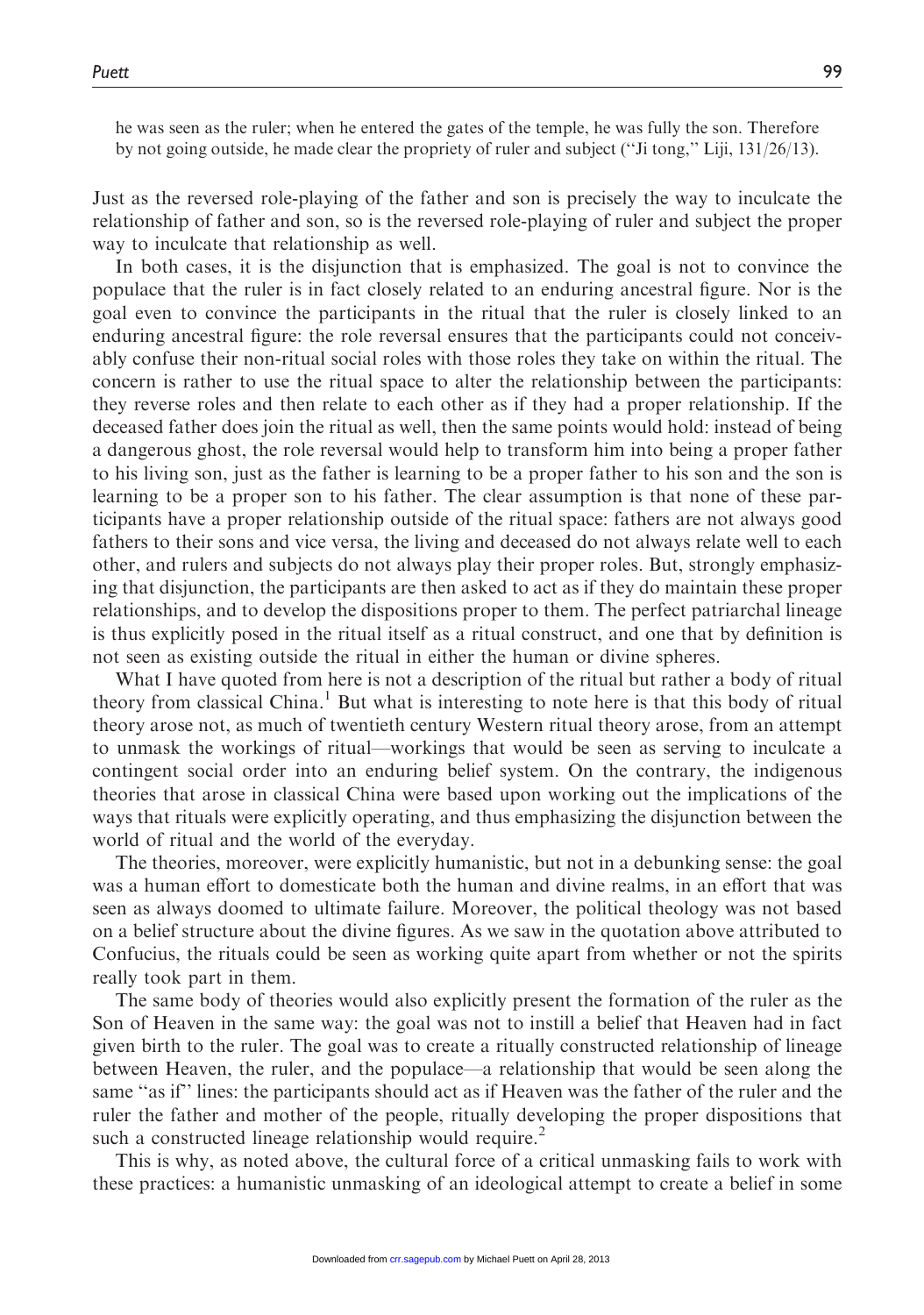he was seen as the ruler; when he entered the gates of the temple, he was fully the son. Therefore by not going outside, he made clear the propriety of ruler and subject (''Ji tong,'' Liji, 131/26/13).

Just as the reversed role-playing of the father and son is precisely the way to inculcate the relationship of father and son, so is the reversed role-playing of ruler and subject the proper way to inculcate that relationship as well.

In both cases, it is the disjunction that is emphasized. The goal is not to convince the populace that the ruler is in fact closely related to an enduring ancestral figure. Nor is the goal even to convince the participants in the ritual that the ruler is closely linked to an enduring ancestral figure: the role reversal ensures that the participants could not conceivably confuse their non-ritual social roles with those roles they take on within the ritual. The concern is rather to use the ritual space to alter the relationship between the participants: they reverse roles and then relate to each other as if they had a proper relationship. If the deceased father does join the ritual as well, then the same points would hold: instead of being a dangerous ghost, the role reversal would help to transform him into being a proper father to his living son, just as the father is learning to be a proper father to his son and the son is learning to be a proper son to his father. The clear assumption is that none of these participants have a proper relationship outside of the ritual space: fathers are not always good fathers to their sons and vice versa, the living and deceased do not always relate well to each other, and rulers and subjects do not always play their proper roles. But, strongly emphasizing that disjunction, the participants are then asked to act as if they do maintain these proper relationships, and to develop the dispositions proper to them. The perfect patriarchal lineage is thus explicitly posed in the ritual itself as a ritual construct, and one that by definition is not seen as existing outside the ritual in either the human or divine spheres.

What I have quoted from here is not a description of the ritual but rather a body of ritual theory from classical China.<sup>1</sup> But what is interesting to note here is that this body of ritual theory arose not, as much of twentieth century Western ritual theory arose, from an attempt to unmask the workings of ritual—workings that would be seen as serving to inculcate a contingent social order into an enduring belief system. On the contrary, the indigenous theories that arose in classical China were based upon working out the implications of the ways that rituals were explicitly operating, and thus emphasizing the disjunction between the world of ritual and the world of the everyday.

The theories, moreover, were explicitly humanistic, but not in a debunking sense: the goal was a human effort to domesticate both the human and divine realms, in an effort that was seen as always doomed to ultimate failure. Moreover, the political theology was not based on a belief structure about the divine figures. As we saw in the quotation above attributed to Confucius, the rituals could be seen as working quite apart from whether or not the spirits really took part in them.

The same body of theories would also explicitly present the formation of the ruler as the Son of Heaven in the same way: the goal was not to instill a belief that Heaven had in fact given birth to the ruler. The goal was to create a ritually constructed relationship of lineage between Heaven, the ruler, and the populace—a relationship that would be seen along the same ''as if'' lines: the participants should act as if Heaven was the father of the ruler and the ruler the father and mother of the people, ritually developing the proper dispositions that such a constructed lineage relationship would require.<sup>2</sup>

This is why, as noted above, the cultural force of a critical unmasking fails to work with these practices: a humanistic unmasking of an ideological attempt to create a belief in some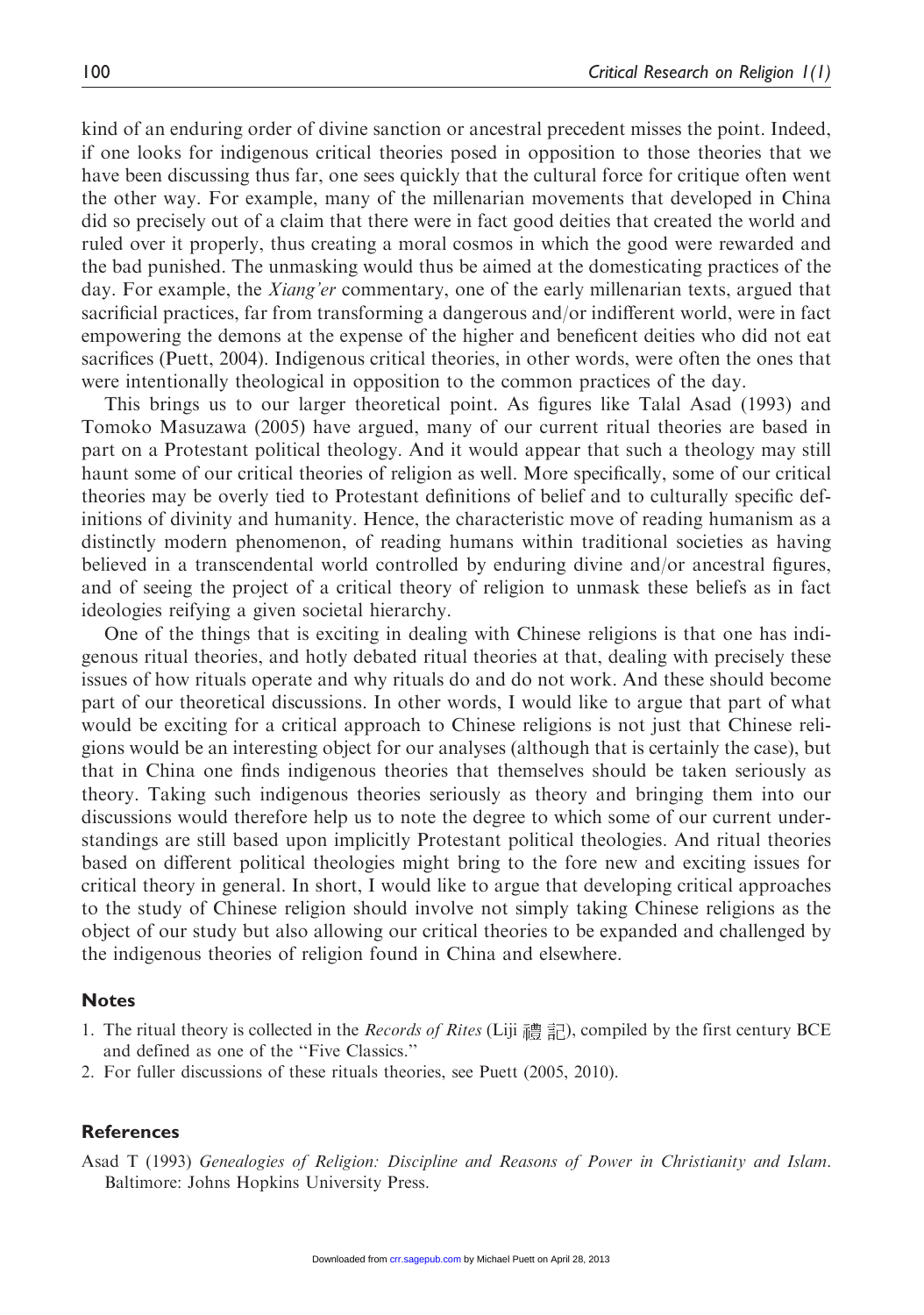kind of an enduring order of divine sanction or ancestral precedent misses the point. Indeed, if one looks for indigenous critical theories posed in opposition to those theories that we have been discussing thus far, one sees quickly that the cultural force for critique often went the other way. For example, many of the millenarian movements that developed in China did so precisely out of a claim that there were in fact good deities that created the world and ruled over it properly, thus creating a moral cosmos in which the good were rewarded and the bad punished. The unmasking would thus be aimed at the domesticating practices of the day. For example, the *Xiang'er* commentary, one of the early millenarian texts, argued that sacrificial practices, far from transforming a dangerous and/or indifferent world, were in fact empowering the demons at the expense of the higher and beneficent deities who did not eat sacrifices (Puett, 2004). Indigenous critical theories, in other words, were often the ones that were intentionally theological in opposition to the common practices of the day.

This brings us to our larger theoretical point. As figures like Talal Asad (1993) and Tomoko Masuzawa (2005) have argued, many of our current ritual theories are based in part on a Protestant political theology. And it would appear that such a theology may still haunt some of our critical theories of religion as well. More specifically, some of our critical theories may be overly tied to Protestant definitions of belief and to culturally specific definitions of divinity and humanity. Hence, the characteristic move of reading humanism as a distinctly modern phenomenon, of reading humans within traditional societies as having believed in a transcendental world controlled by enduring divine and/or ancestral figures, and of seeing the project of a critical theory of religion to unmask these beliefs as in fact ideologies reifying a given societal hierarchy.

One of the things that is exciting in dealing with Chinese religions is that one has indigenous ritual theories, and hotly debated ritual theories at that, dealing with precisely these issues of how rituals operate and why rituals do and do not work. And these should become part of our theoretical discussions. In other words, I would like to argue that part of what would be exciting for a critical approach to Chinese religions is not just that Chinese religions would be an interesting object for our analyses (although that is certainly the case), but that in China one finds indigenous theories that themselves should be taken seriously as theory. Taking such indigenous theories seriously as theory and bringing them into our discussions would therefore help us to note the degree to which some of our current understandings are still based upon implicitly Protestant political theologies. And ritual theories based on different political theologies might bring to the fore new and exciting issues for critical theory in general. In short, I would like to argue that developing critical approaches to the study of Chinese religion should involve not simply taking Chinese religions as the object of our study but also allowing our critical theories to be expanded and challenged by the indigenous theories of religion found in China and elsewhere.

#### **Notes**

- 1. The ritual theory is collected in the *Records of Rites* (Liji  $\frac{1}{h}$ ), compiled by the first century BCE and defined as one of the ''Five Classics.''
- 2. For fuller discussions of these rituals theories, see Puett (2005, 2010).

#### References

Asad T (1993) Genealogies of Religion: Discipline and Reasons of Power in Christianity and Islam. Baltimore: Johns Hopkins University Press.